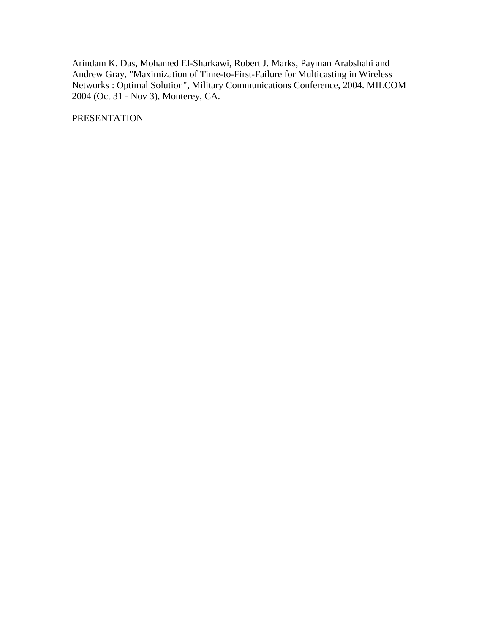Arindam K. Das, Mohamed El-Sharkawi, Robert J. Marks, Payman Arabshahi and Andrew Gray, "Maximization of Time-to-First-Failure for Multicasting in Wireless Networks : Optimal Solution", Military Communications Conference, 2004. MILCOM 2004 (Oct 31 - Nov 3), Monterey, CA.

PRESENTATION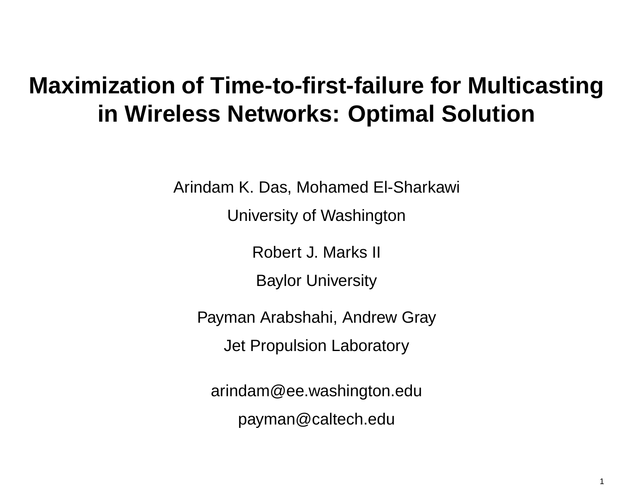# **Maximization of Time-to-first-failure for Multicasting in Wireless Networks: Optimal Solution**

Arindam K. Das, Mohamed El-Sharkawi

University of Washington

Robert J. Marks II

Baylor University

Payman Arabshahi, Andrew Gray Jet Propulsion Laboratory

arindam@ee.washington.edu payman@caltech.edu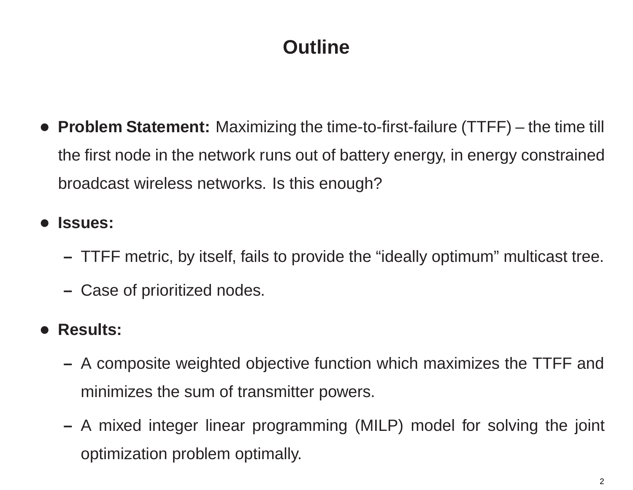# **Outline**

• **Problem Statement:** Maximizing the time-to-first-failure (TTFF) – the time till the first node in the network runs out of battery energy, in energy constrained broadcast wireless networks. Is this enough?

•**Issues:**

- TTFF metric, by itself, fails to provide the "ideally optimum" multicast tree.
- Case of prioritized nodes.
- **Results:**
	- A composite weighted objective function which maximizes the TTFF and minimizes the sum of transmitter powers.
	- A mixed integer linear programming (MILP) model for solving the joint optimization problem optimally.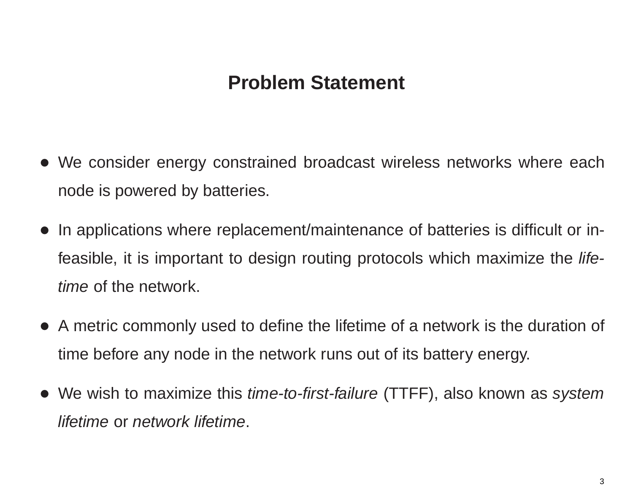- We consider energy constrained broadcast wireless networks where each node is powered by batteries.
- In applications where replacement/maintenance of batteries is difficult or infeasible, it is important to design routing protocols which maximize the *lifetime* of the network.
- A metric commonly used to define the lifetime of <sup>a</sup> network is the duration of time before any node in the network runs out of its battery energy.
- We wish to maximize this *time-to-first-failure* (TTFF), also known as *system lifetime* or *network lifetime*.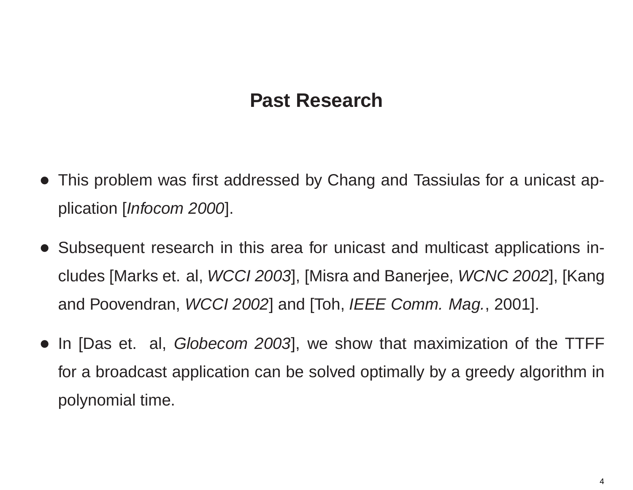### **Past Research**

- This problem was first addressed by Chang and Tassiulas for <sup>a</sup> unicast application [*Infocom 2000*].
- Subsequent research in this area for unicast and multicast applications includes [Marks et. al, *WCCI 2003*], [Misra and Banerjee, *WCNC 2002*], [Kang and Poovendran, *WCCI 2002*] and [Toh, *IEEE Comm. Mag.*, 2001].
- In [Das et. al, *Globecom 2003*], we show that maximization of the TTFF for <sup>a</sup> broadcast application can be solved optimally by <sup>a</sup> greedy algorithm in polynomial time.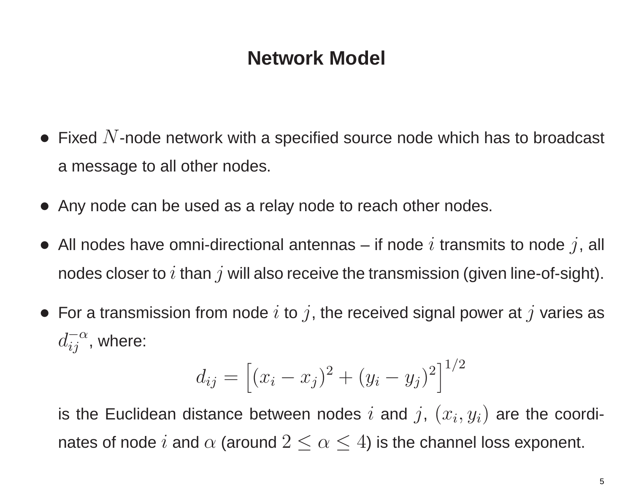### **Network Model**

- $\bullet\,$  Fixed  $N$ -node network with a specified source node which has to broadcast <sup>a</sup> message to all other nodes.
- Any node can be used as <sup>a</sup> relay node to reach other nodes.
- All nodes have omni-directional antennas if node  $i$  transmits to node  $j$ , all nodes closer to  $i$  than  $j$  will also receive the transmission (given line-of-sight).
- $\bullet\,$  For a transmission from node  $i$  to  $j$ , the received signal power at  $j$  varies as  $d_{ij}^{-\alpha}$ , where:

$$
d_{ij} = [(x_i - x_j)^2 + (y_i - y_j)^2]^{1/2}
$$

is the Euclidean distance between nodes i and j,  $(x_i, y_i)$  are the coordinates of node  $i$  and  $\alpha$  (around  $2 \leq \alpha \leq 4$ ) is the channel loss exponent.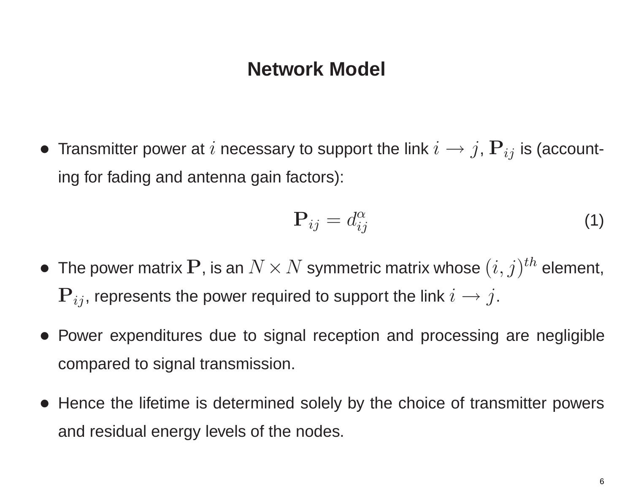#### **Network Model**

 $\bullet$  Transmitter power at  $i$  necessary to support the link  $i\rightarrow j$ ,  $\mathbf{P}_{ij}$  is (accounting for fading and antenna gain factors):

$$
\mathbf{P}_{ij} = d_{ij}^{\alpha} \tag{1}
$$

- $\bullet\,$  The power matrix  ${\bf P}$ , is an  $N\!\times\!N$  symmetric matrix whose  $(i,j)^{th}$  element,  $\mathbf{P}_{ij}$ , represents the power required to support the link  $i \rightarrow j$ .
- Power expenditures due to signal reception and processing are negligible compared to signal transmission.
- Hence the lifetime is determined solely by the choice of transmitter powers and residual energy levels of the nodes.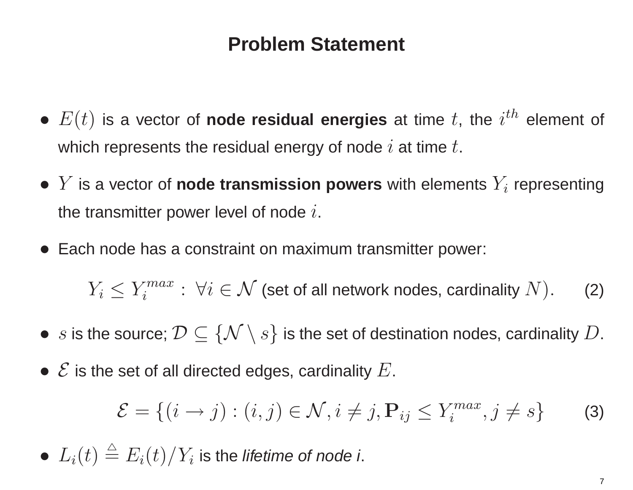- $\bullet$   $E(t)$  is a vector of **node residual energies** at time  $t$ , the  $i^{th}$  element of which represents the residual energy of node  $i$  at time  $t$ .
- $\bullet$   $Y$  is a vector of **node transmission powers** with elements  $Y_i$  representing the transmitter power level of node  $i$ .
- Each node has <sup>a</sup> constraint on maximum transmitter power:

 $Y_i \leq Y_i^{max}$ :  $\forall i \in \mathcal{N}$  (set of all network nodes, cardinality  $N$ ). (2)

- $\bullet \ \ s$  is the source;  $\mathcal{D} \subseteq \{\mathcal{N} \setminus s\}$  is the set of destination nodes, cardinality  $D.$
- $\bullet \,\, {\mathcal E}$  is the set of all directed edges, cardinality  $E.$

$$
\mathcal{E} = \{ (i \to j) : (i, j) \in \mathcal{N}, i \neq j, \mathbf{P}_{ij} \le Y_i^{max}, j \neq s \}
$$
 (3)

 $\bullet$   $L_i(t) \triangleq E_i(t)/Y_i$  is the *lifetime of node i*.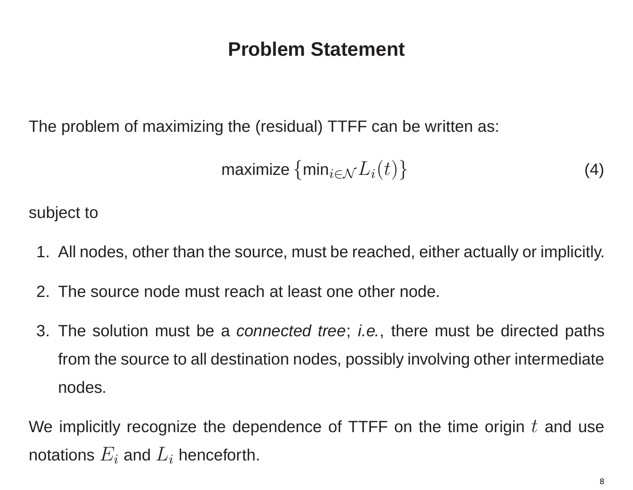The problem of maximizing the (residual) TTFF can be written as:

<span id="page-8-0"></span>
$$
\text{maximize } \{\min_{i \in \mathcal{N}} L_i(t)\} \tag{4}
$$

subject to

- 1. All nodes, other than the source, must be reached, either actually or implicitly.
- 2. The source node must reach at least one other node.
- 3. The solution must be <sup>a</sup> *connected tree*; *i.e.*, there must be directed paths from the source to all destination nodes, possibly involving other intermediate nodes.

We implicitly recognize the dependence of TTFF on the time origin  $t$  and use notations  $E_i$  and  $L_i$  henceforth.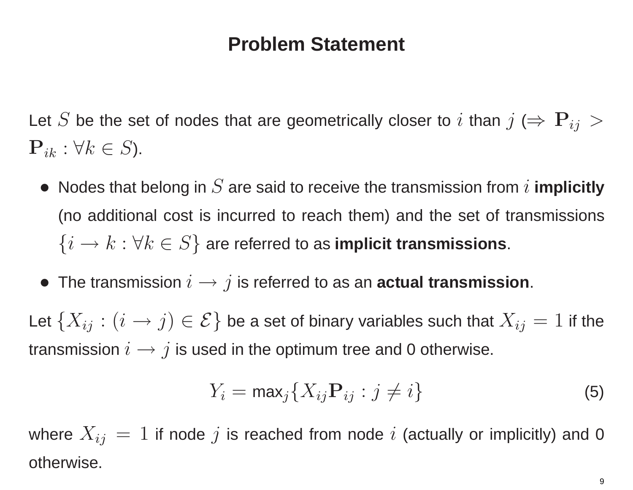Let S be the set of nodes that are geometrically closer to i than  $j \Leftrightarrow P_{ij} > 0$  $\mathbf{P}_{ik}$  :  $\forall k \in S$ ).

- Nodes that belong in  $S$  are said to receive the transmission from  $i$  implicitly (no additional cost is incurred to reach them) and the set of transmissions  $\{i \rightarrow k : \forall k \in S\}$  are referred to as **implicit transmissions**.
- The transmission i <sup>→</sup> j is referred to as an **actual transmission**.

Let  $\{X_{ij} : (i \to j) \in \mathcal{E}\}$  be a set of binary variables such that  $X_{ij} = 1$  if the transmission  $i \rightarrow j$  is used in the optimum tree and 0 otherwise.

$$
Y_i = \max_j \{ X_{ij} \mathbf{P}_{ij} : j \neq i \}
$$
 (5)

where  $X_{ij} = 1$  if node j is reached from node i (actually or implicitly) and 0 otherwise.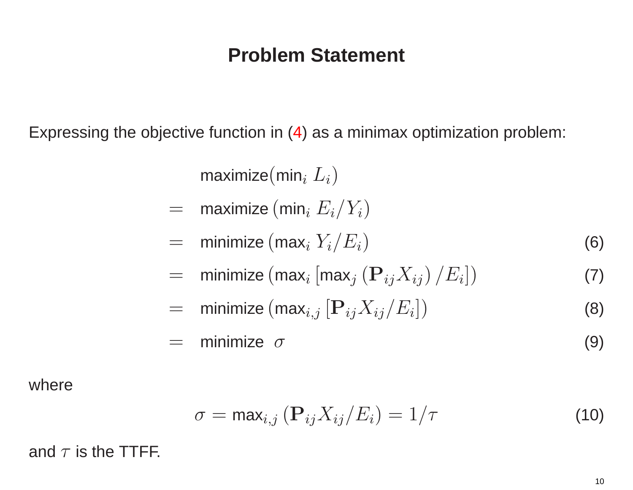Expressing the objective function in [\(4\)](#page-8-0) as <sup>a</sup> minimax optimization problem:

maximize(min<sub>i</sub>  $L_i$ )

- = $=$   $\,$  maximize  $($ min $_{i}$   $E_{i}/Y_{i})$
- =minimize (max<sup>i</sup> <sup>Y</sup>i/Ei) (6)
- = $\qquad \qquad = \quad \mathsf{minimize}\,(\mathsf{max}_i\,[\mathsf{max}_j\,(\mathbf{P}_{ij}X_{ij})\,/\,E_i]) \qquad \qquad \qquad \textbf{(7)}$
- =minimize  $(\max_{i,j} [\mathbf{P}_{ij}X_{ij}/E_i])$  (8)
- $=$ minimize  $\sigma$  (9)

where

<span id="page-10-0"></span>
$$
\sigma = \max_{i,j} (\mathbf{P}_{ij} X_{ij}/E_i) = 1/\tau
$$
 (10)

and  $\tau$  is the TTFF.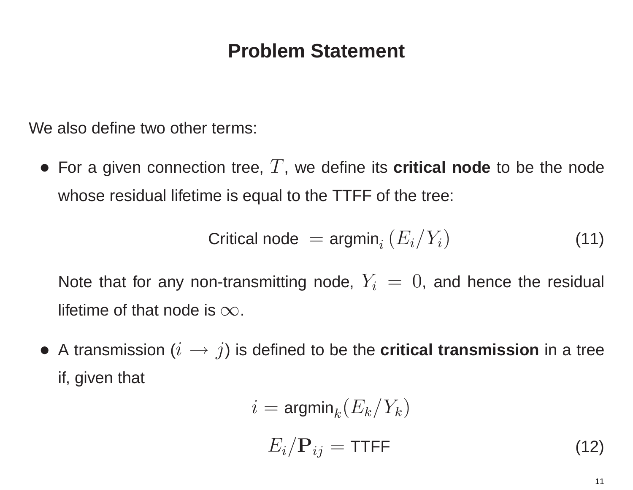We also define two other terms:

• For <sup>a</sup> given connection tree, T, we define its **critical node** to be the node whose residual lifetime is equal to the TTFF of the tree:

$$
Critical node = argmin_{i} (E_i/Y_i)
$$
\n(11)

Note that for any non-transmitting node,  $Y_i = 0$ , and hence the residual lifetime of that node is  $\infty$ .

• <sup>A</sup> transmission (i <sup>→</sup> j) is defined to be the **critical transmission** in <sup>a</sup> tree if, given that

$$
i = \mathsf{argmin}_k (E_k/Y_k)
$$

$$
E_i/\mathbf{P}_{ij} = \mathsf{TTFF} \tag{12}
$$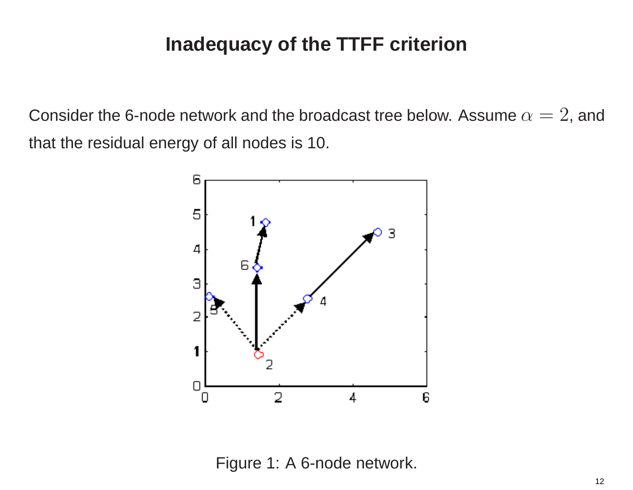Consider the 6-node network and the broadcast tree below. Assume  $\alpha=2$ , and that the residual energy of all nodes is 10.



<span id="page-12-0"></span>Figure 1: A 6-node network.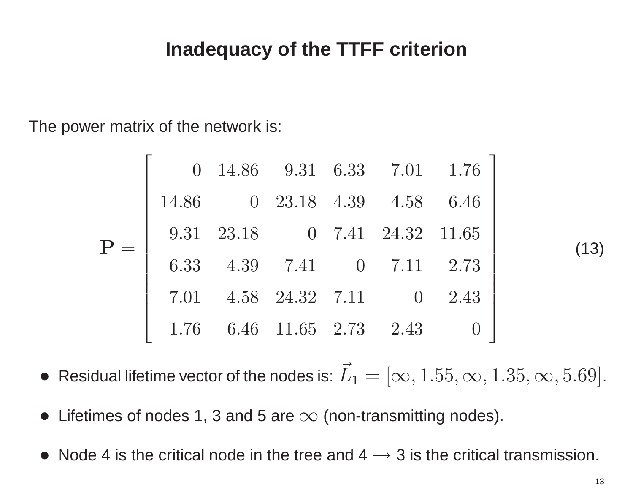The power matrix of the network is:

|  |       |                           |  | $0$ 14.86 9.31 6.33 7.01 1.76 |  |
|--|-------|---------------------------|--|-------------------------------|--|
|  | 14.86 |                           |  | 0 23.18 4.39 4.58 6.46        |  |
|  |       |                           |  | 9.31 23.18 0 7.41 24.32 11.65 |  |
|  |       |                           |  | 6.33 4.39 7.41 0 7.11 2.73    |  |
|  |       |                           |  | 7.01 4.58 24.32 7.11 0 2.43   |  |
|  |       | 1.76 6.46 11.65 2.73 2.43 |  |                               |  |

(13)

- $\bullet\,$  Residual lifetime vector of the nodes is:  $\vec{L}_1=[\infty,1.55,\infty,1.35,\infty,5.69].$
- $\bullet\,$  Lifetimes of nodes 1, 3 and 5 are  $\infty$  (non-transmitting nodes).
- Node 4 is the critical node in the tree and  $4 \rightarrow 3$  is the critical transmission.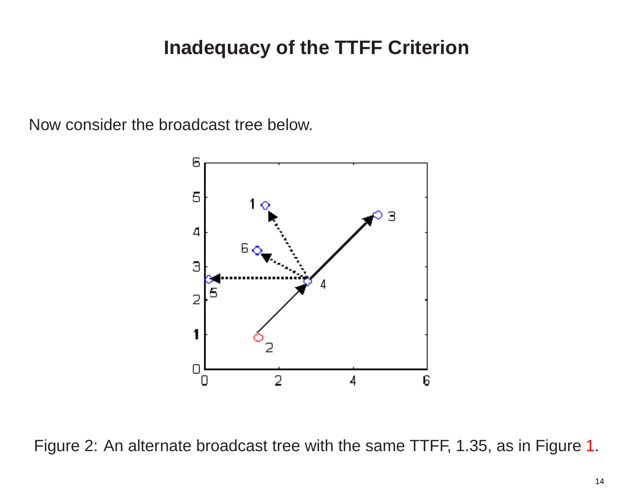Now consider the broadcast tree below.

<span id="page-14-0"></span>

Figure 2: An alternate broadcast tree with the same TTFF, 1.35, as in Figure [1](#page-12-0).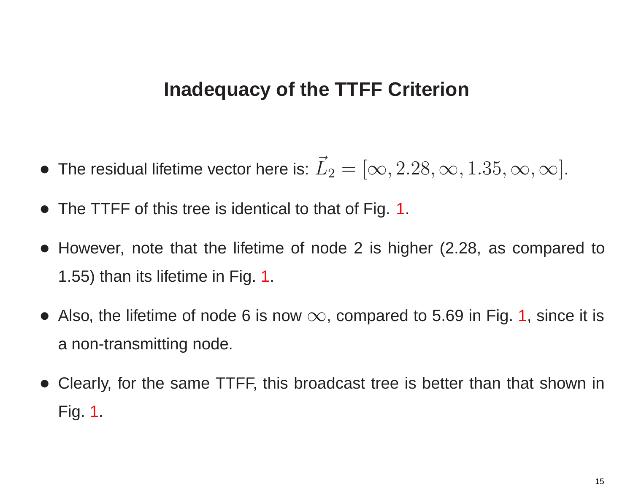- $\bullet\,$  The residual lifetime vector here is:  $\vec{L}_2=[\infty,2.28,\infty,1.35,\infty,\infty].$
- The TTFF of this tree is identical to that of Fig. [1](#page-12-0).
- However, note that the lifetime of node 2 is higher (2.28, as compared to 1.55) than its lifetime in Fig. [1](#page-12-0).
- Also, the lifetime of node 6 is now  $\infty$ , compared to 5.69 in Fig. [1](#page-12-0), since it is <sup>a</sup> non-transmitting node.
- • Clearly, for the same TTFF, this broadcast tree is better than that shown in Fig. [1](#page-12-0).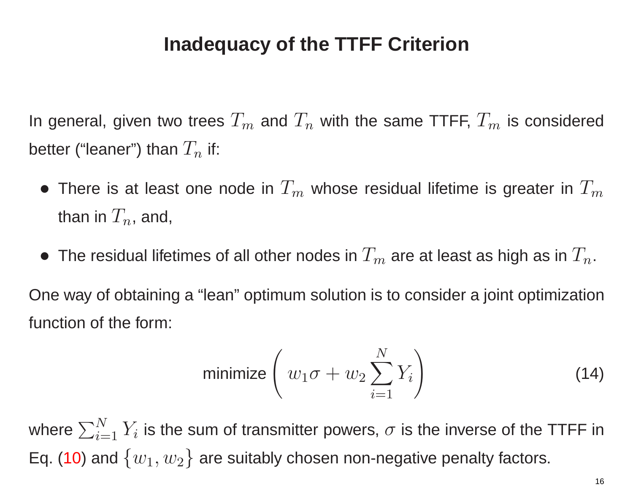In general, given two trees  $T_m$  and  $T_n$  with the same TTFF,  $T_m$  is considered better ("leaner") than  $T_n$  if:

- $\bullet$  There is at least one node in  $T_m$  whose residual lifetime is greater in  $T_m$ than in  $T_n$ , and,
- $\bullet\,$  The residual lifetimes of all other nodes in  $T_m$  are at least as high as in  $T_n.$

One way of obtaining <sup>a</sup> "lean" optimum solution is to consider <sup>a</sup> joint optimization function of the form:

<span id="page-16-0"></span>
$$
\text{minimize}\left(w_1\sigma + w_2\sum_{i=1}^N Y_i\right) \tag{14}
$$

where  $\sum_{i=1}^N$  $\frac{N}{i=1}\,Y_i$  is the sum of transmitter powers,  $\sigma$  is the inverse of the TTFF in Eq. [\(10\)](#page-10-0) and  $\{w_1,w_2\}$  are suitably chosen non-negative penalty factors.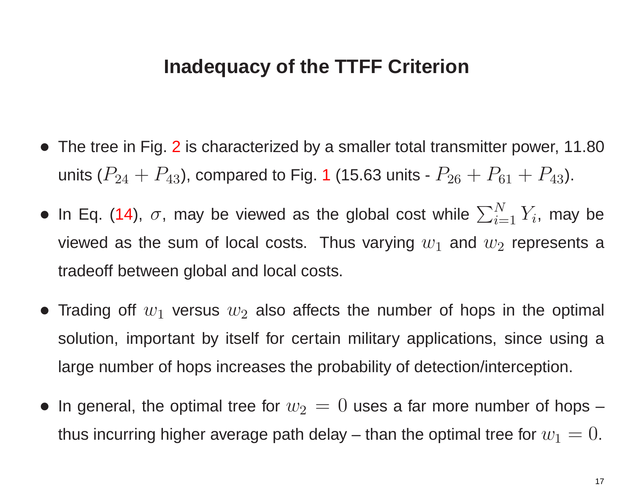- The tree in Fig. [2](#page-14-0) is characterized by a smaller total transmitter power, 11.80 units ( $P_{24}+P_{43}$ ), compared to Fig. [1](#page-12-0) (15.63 units -  $P_{26}+P_{61}+P_{43}$ ).
- In Eq. [\(14](#page-16-0)),  $\sigma$ , may be viewed as the global cost while  $\sum_{i=1}^{N}$  $\prod\limits_{i=1}^N Y_i$ , may be viewed as the sum of local costs. Thus varying  $w_1$  and  $w_2$  represents a tradeoff between global and local costs.
- Trading off  $w_1$  versus  $w_2$  also affects the number of hops in the optimal solution, important by itself for certain military applications, since using <sup>a</sup> large number of hops increases the probability of detection/interception.
- $\bullet\,$  In general, the optimal tree for  $w_2\,=\,0$  uses a far more number of hops  $$ thus incurring higher average path delay – than the optimal tree for  $w_1=0.$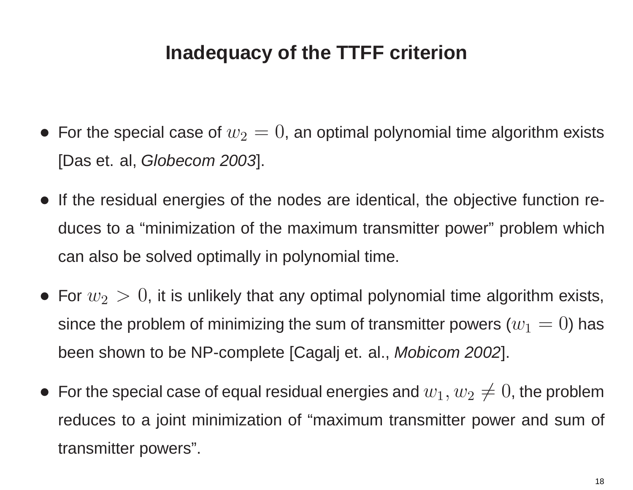- $\bullet\,$  For the special case of  $w_2=0,$  an optimal polynomial time algorithm exists [Das et. al, *Globecom 2003*].
- If the residual energies of the nodes are identical, the objective function reduces to <sup>a</sup> "minimization of the maximum transmitter power" problem which can also be solved optimally in polynomial time.
- $\bullet\,$  For  $w_2\,>\,0$ , it is unlikely that any optimal polynomial time algorithm exists, since the problem of minimizing the sum of transmitter powers  $(w_1=0)$  has been shown to be NP-complete [Cagalj et. al., *Mobicom 2002*].
- $\bullet\,$  For the special case of equal residual energies and  $w_1,w_2\neq 0$ , the problem reduces to <sup>a</sup> joint minimization of "maximum transmitter power and sum of transmitter powers".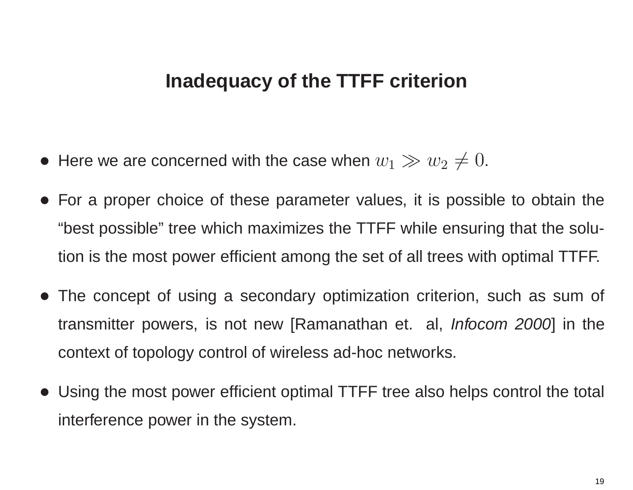- $\bullet\,$  Here we are concerned with the case when  $w_1\gg w_2\neq 0.$
- For <sup>a</sup> proper choice of these parameter values, it is possible to obtain the "best possible" tree which maximizes the TTFF while ensuring that the solution is the most power efficient among the set of all trees with optimal TTFF.
- The concept of using <sup>a</sup> secondary optimization criterion, such as sum of transmitter powers, is not new [Ramanathan et. al, *Infocom 2000*] in the context of topology control of wireless ad-hoc networks.
- Using the most power efficient optimal TTFF tree also helps control the total interference power in the system.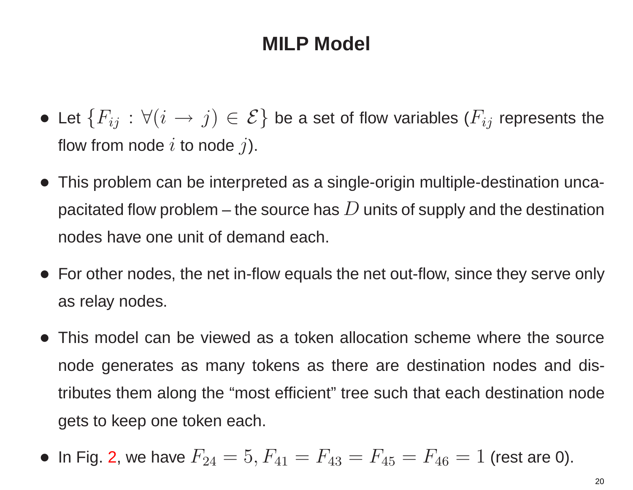- Let  $\{F_{ij} \, : \, \forall (i\,\rightarrow\,j)\in\mathcal{E}\}$  be a set of flow variables ( $F_{ij}$  represents the flow from node  $i$  to node  $j$ ).
- This problem can be interpreted as <sup>a</sup> single-origin multiple-destination uncapacitated flow problem – the source has  $D$  units of supply and the destination nodes have one unit of demand each.
- For other nodes, the net in-flow equals the net out-flow, since they serve only as relay nodes.
- This model can be viewed as a token allocation scheme where the source node generates as many tokens as there are destination nodes and distributes them along the "most efficient" tree such that each destination node gets to keep one token each.

• In Fig. 2, we have 
$$
F_{24} = 5
$$
,  $F_{41} = F_{43} = F_{45} = F_{46} = 1$  (rest are 0).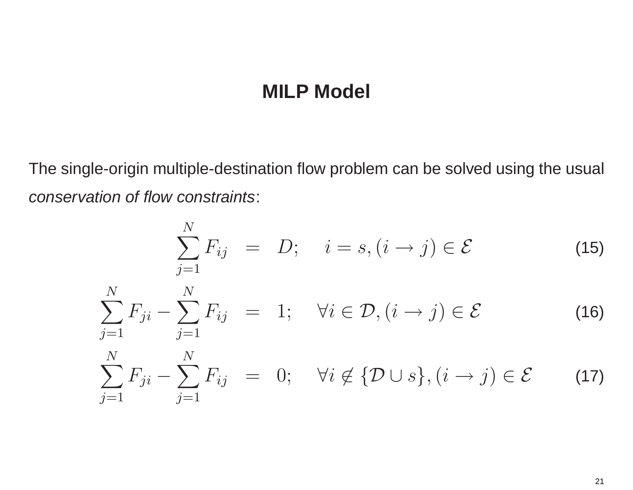The single-origin multiple-destination flow problem can be solved using the usual *conservation of flow constraints*:

$$
\sum_{j=1}^{N} F_{ij} = D; \quad i = s, (i \to j) \in \mathcal{E}
$$
 (15)

$$
\sum_{j=1}^{N} F_{ji} - \sum_{j=1}^{N} F_{ij} = 1; \quad \forall i \in \mathcal{D}, (i \to j) \in \mathcal{E}
$$
 (16)

$$
\sum_{j=1}^{N} F_{ji} - \sum_{j=1}^{N} F_{ij} = 0; \quad \forall i \notin \{ \mathcal{D} \cup s \}, (i \to j) \in \mathcal{E}
$$
 (17)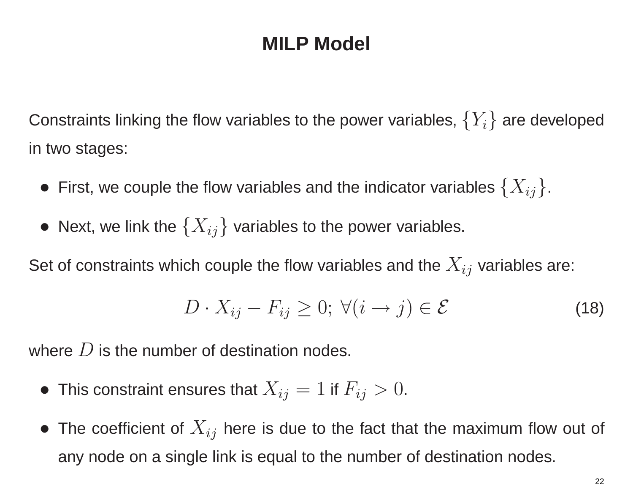Constraints linking the flow variables to the power variables,  $\{Y_i\}$  are developed in two stages:

- First, we couple the flow variables and the indicator variables  $\{X_{ij}\}$ .
- Next, we link the  $\{X_{ij}\}$  variables to the power variables.

Set of constraints which couple the flow variables and the  $X_{ij}$  variables are:

$$
D \cdot X_{ij} - F_{ij} \ge 0; \ \forall (i \to j) \in \mathcal{E}
$$
 (18)

where  $D$  is the number of destination nodes.

- $\bullet~$  This constraint ensures that  $X_{ij} = 1$  if  $F_{ij} > 0.$
- $\bullet\,$  The coefficient of  $X_{ij}$  here is due to the fact that the maximum flow out of any node on <sup>a</sup> single link is equal to the number of destination nodes.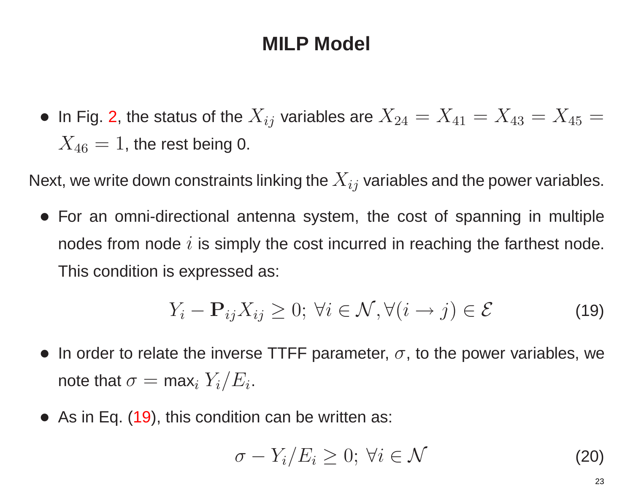$\bullet\,$  In Fig. [2](#page-14-0), the status of the  $X_{ij}$  variables are  $X_{24}=X_{41}=X_{43}=X_{45}=$  $X_{46} = 1$ , the rest being 0.

Next, we write down constraints linking the  $X_{ij}$  variables and the power variables.

• For an omni-directional antenna system, the cost of spanning in multiple nodes from node  $i$  is simply the cost incurred in reaching the farthest node. This condition is expressed as:

$$
Y_i - \mathbf{P}_{ij} X_{ij} \ge 0; \ \forall i \in \mathcal{N}, \forall (i \to j) \in \mathcal{E}
$$
 (19)

- In order to relate the inverse TTFF parameter,  $\sigma$ , to the power variables, we note that  $\sigma = \max_i Y_i/E_i$ .
- As in Eq. [\(19\)](#page-23-0), this condition can be written as:

<span id="page-23-1"></span><span id="page-23-0"></span>
$$
\sigma - Y_i / E_i \geq 0; \; \forall i \in \mathcal{N} \tag{20}
$$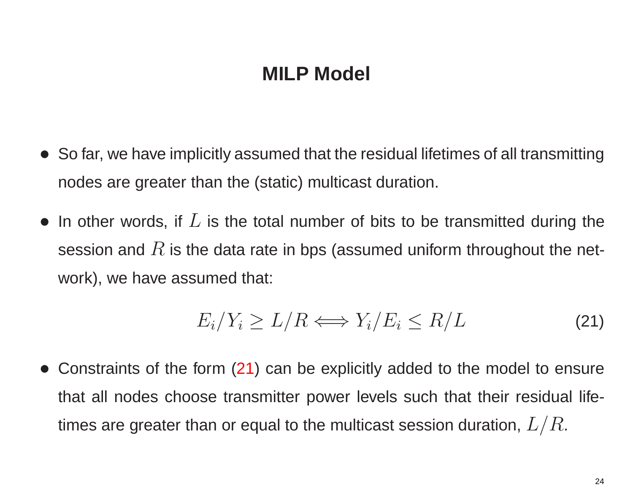- • So far, we have implicitly assumed that the residual lifetimes of all transmitting nodes are greater than the (static) multicast duration.
- In other words, if  $L$  is the total number of bits to be transmitted during the session and  $R$  is the data rate in bps (assumed uniform throughout the network), we have assumed that:

<span id="page-24-0"></span>
$$
E_i/Y_i \ge L/R \Longleftrightarrow Y_i/E_i \le R/L \tag{21}
$$

 $\bullet$  Constraints of the form [\(21](#page-24-0)) can be explicitly added to the model to ensure that all nodes choose transmitter power levels such that their residual lifetimes are greater than or equal to the multicast session duration,  $L/R$ .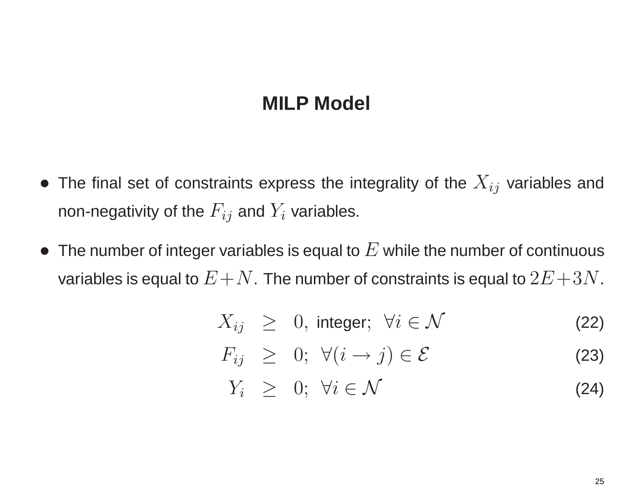- $\bullet\,$  The final set of constraints express the integrality of the  $X_{ij}$  variables and non-negativity of the  $F_{ij}$  and  $Y_i$  variables.
- $\bullet~$  The number of integer variables is equal to  $E$  while the number of continuous variables is equal to  $E+N$ . The number of constraints is equal to  $2E+3N$ .

$$
X_{ij} \geq 0, \text{ integer}; \forall i \in \mathcal{N} \tag{22}
$$

$$
F_{ij} \geq 0; \ \forall (i \to j) \in \mathcal{E}
$$
 (23)

$$
Y_i \geq 0; \forall i \in \mathcal{N} \tag{24}
$$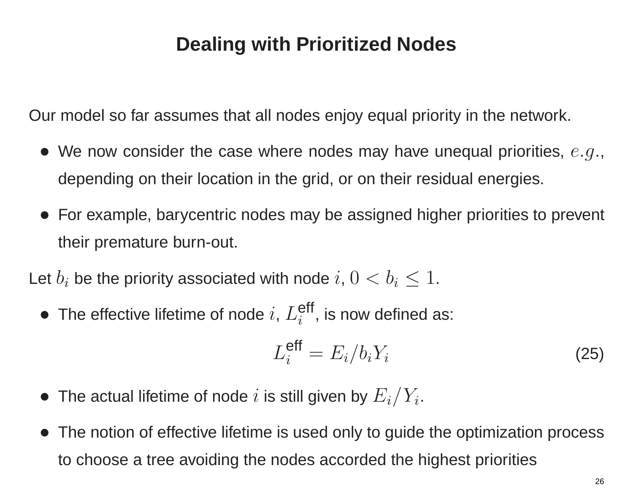Our model so far assumes that all nodes enjoy equal priority in the network.

- $\bullet\,$  We now consider the case where nodes may have unequal priorities,  $\,e.g.,$ depending on their location in the grid, or on their residual energies.
- For example, barycentric nodes may be assigned higher priorities to prevent their premature burn-out.

Let  $b_i$  be the priority associated with node  $i,$   $0 < b_i \leq 1.$ 

 $\bullet\,$  The effective lifetime of node  $i,\,L^{\mathsf{eff}}_i$ , is now defined as:

$$
L_i^{\text{eff}} = E_i/b_i Y_i \tag{25}
$$

- $\bullet\,$  The actual lifetime of node  $i$  is still given by  $E_i/Y_i.$
- The notion of effective lifetime is used only to guide the optimization process to choose <sup>a</sup> tree avoiding the nodes accorded the highest priorities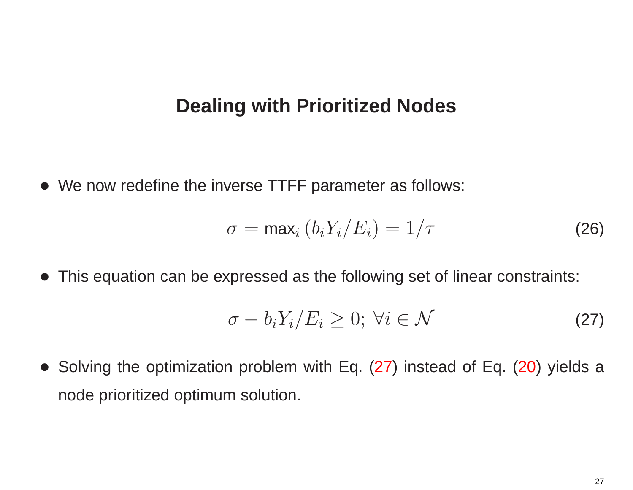• We now redefine the inverse TTFF parameter as follows:

$$
\sigma = \max_i (b_i Y_i / E_i) = 1/\tau \tag{26}
$$

• This equation can be expressed as the following set of linear constraints:

<span id="page-27-0"></span>
$$
\sigma - b_i Y_i / E_i \geq 0; \ \forall i \in \mathcal{N} \tag{27}
$$

• Solving the optimization problem with Eq. [\(27\)](#page-27-0) instead of Eq. [\(20\)](#page-23-1) yields <sup>a</sup> node prioritized optimum solution.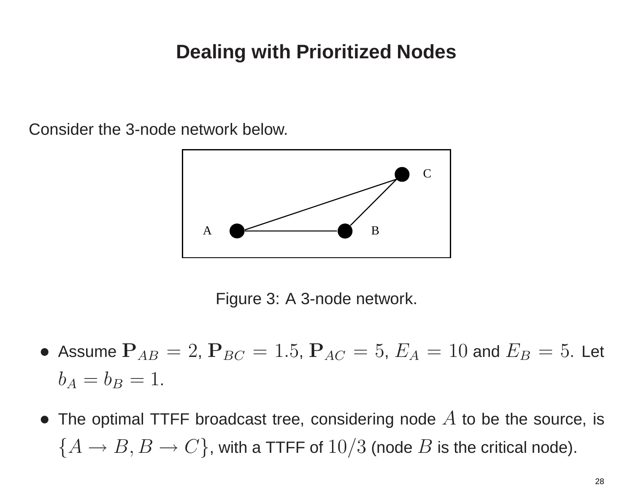Consider the 3-node network below.



Figure 3: A 3-node network.

- $\bullet$  Assume  $\mathbf{P}_{AB} = 2$ ,  $\mathbf{P}_{BC} = 1.5$ ,  $\mathbf{P}_{AC} = 5$ ,  $E_A = 10$  and  $E_B = 5$ . Let  $b_A=b_B=1.$
- The optimal TTFF broadcast tree, considering node  $A$  to be the source, is  $\{A \rightarrow B, B \rightarrow C\}$ , with a TTFF of  $10/3$  (node  $B$  is the critical node).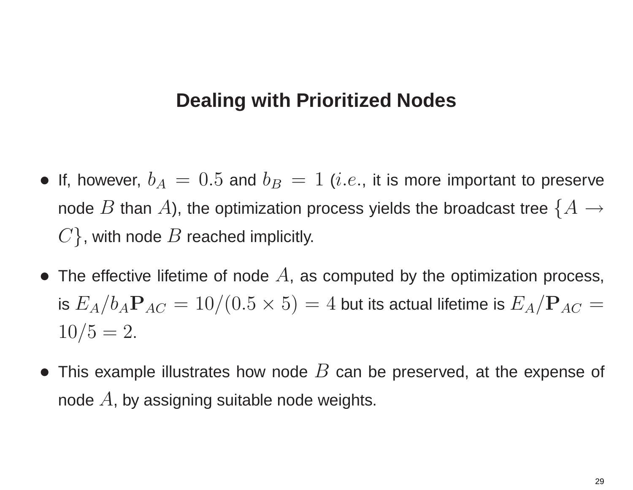- If, however,  $b_A = 0.5$  and  $b_B = 1$  (i.e., it is more important to preserve node  $B$  than  $A$ ), the optimization process yields the broadcast tree  $\{A \rightarrow$  $\{C\}$ , with node  $B$  reached implicitly.
- The effective lifetime of node  $A$ , as computed by the optimization process, is  $E_A/b_A\mathbf{P}_{AC}=10/(0.5\times5)=4$  but its actual lifetime is  $E_A/\mathbf{P}_{AC}=$  $10/5 = 2.$
- This example illustrates how node  $B$  can be preserved, at the expense of node  $A$ , by assigning suitable node weights.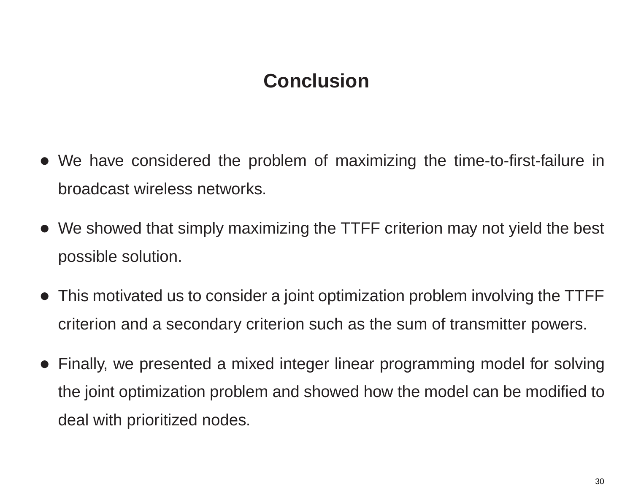### **Conclusion**

- We have considered the problem of maximizing the time-to-first-failure in broadcast wireless networks.
- We showed that simply maximizing the TTFF criterion may not yield the best possible solution.
- This motivated us to consider <sup>a</sup> joint optimization problem involving the TTFF criterion and <sup>a</sup> secondary criterion such as the sum of transmitter powers.
- • Finally, we presented <sup>a</sup> mixed integer linear programming model for solving the joint optimization problem and showed how the model can be modified to deal with prioritized nodes.